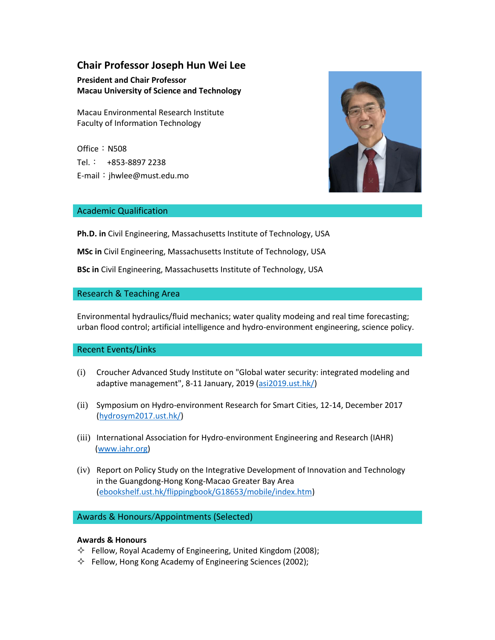# **Chair Professor Joseph Hun Wei Lee**

## **President and Chair Professor Macau University of Science and Technology**

Macau Environmental Research Institute Faculty of Information Technology

Office: N508 Tel.: +853-8897 2238 E-mail:jhwlee@must.edu.mo



### Academic Qualification

**Ph.D. in** Civil Engineering, Massachusetts Institute of Technology, USA

**MSc in** Civil Engineering, Massachusetts Institute of Technology, USA

**BSc in** Civil Engineering, Massachusetts Institute of Technology, USA

### Research & Teaching Area

Environmental hydraulics/fluid mechanics; water quality modeing and real time forecasting; urban flood control; artificial intelligence and hydro-environment engineering, science policy.

### Recent Events/Links

- (i) Croucher Advanced Study Institute on "Global water security: integrated modeling and adaptive management", 8-11 January, 2019 [\(asi2019.ust.hk/\)](http://asi2019.ust.hk/)
- (ii) Symposium on Hydro-environment Research for Smart Cities, 12-14, December 2017 [\(hydrosym2017.ust.hk/\)](http://hydrosym2017.ust.hk/)
- (iii) International Association for Hydro-environment Engineering and Research (IAHR) [\(www.iahr.org\)](http://www.iahr.org/)
- (iv) Report on Policy Study on the Integrative Development of Innovation and Technology in the Guangdong-Hong Kong-Macao Greater Bay Area [\(ebookshelf.ust.hk/flippingbook/G18653/mobile/index.htm\)](http://ebookshelf.ust.hk/flippingbook/G18653/mobile/index.html)

## Awards & Honours/Appointments (Selected)

### **Awards & Honours**

- $\Diamond$  Fellow, Royal Academy of Engineering, United Kingdom (2008);
- $\Diamond$  Fellow, Hong Kong Academy of Engineering Sciences (2002);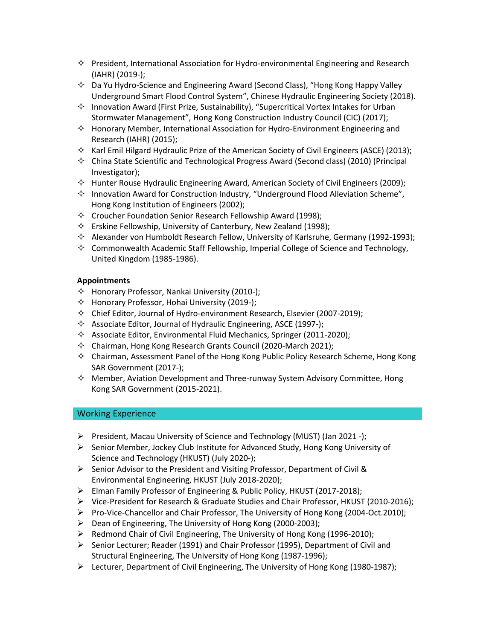- $\Diamond$  President, International Association for Hydro-environmental Engineering and Research (IAHR) (2019-);
- $\Diamond$  Da Yu Hydro-Science and Engineering Award (Second Class), "Hong Kong Happy Valley Underground Smart Flood Control System", Chinese Hydraulic Engineering Society (2018).
- $\Diamond$  Innovation Award (First Prize, Sustainability), "Supercritical Vortex Intakes for Urban Stormwater Management", Hong Kong Construction Industry Council (CIC) (2017);
- $\Diamond$  Honorary Member, International Association for Hydro-Environment Engineering and Research (IAHR) (2015);
- $\Diamond$  Karl Emil Hilgard Hydraulic Prize of the American Society of Civil Engineers (ASCE) (2013);
- $\Diamond$  China State Scientific and Technological Progress Award (Second class) (2010) (Principal Investigator);
- $\diamond$  Hunter Rouse Hydraulic Engineering Award, American Society of Civil Engineers (2009);
- $\diamond$  Innovation Award for Construction Industry, "Underground Flood Alleviation Scheme", Hong Kong Institution of Engineers (2002);
- $\Diamond$  Croucher Foundation Senior Research Fellowship Award (1998);
- $\Diamond$  Erskine Fellowship, University of Canterbury, New Zealand (1998);
- $\Diamond$  Alexander von Humboldt Research Fellow, University of Karlsruhe, Germany (1992-1993);
- $\diamond$  Commonwealth Academic Staff Fellowship, Imperial College of Science and Technology, United Kingdom (1985-1986).

### **Appointments**

- $\Diamond$  Honorary Professor, Nankai University (2010-);
- $\Diamond$  Honorary Professor, Hohai University (2019-);
- $\Diamond$  Chief Editor, Journal of Hydro-environment Research, Elsevier (2007-2019);
- $\Diamond$  Associate Editor, Journal of Hydraulic Engineering, ASCE (1997-);
- $\Diamond$  Associate Editor, Environmental Fluid Mechanics, Springer (2011-2020);
- $\Diamond$  Chairman, Hong Kong Research Grants Council (2020-March 2021);
- $\diamond$  Chairman, Assessment Panel of the Hong Kong Public Policy Research Scheme, Hong Kong SAR Government (2017-);
- $\diamond$  Member, Aviation Development and Three-runway System Advisory Committee, Hong Kong SAR Government (2015-2021).

### Working Experience

- President, Macau University of Science and Technology (MUST) (Jan 2021 -);
- $\triangleright$  Senior Member, Jockey Club Institute for Advanced Study, Hong Kong University of Science and Technology (HKUST) (July 2020-);
- $\triangleright$  Senior Advisor to the President and Visiting Professor, Department of Civil & Environmental Engineering, HKUST (July 2018-2020);
- Elman Family Professor of Engineering & Public Policy, HKUST (2017-2018);
- Vice-President for Research & Graduate Studies and Chair Professor, HKUST (2010-2016);
- Pro-Vice-Chancellor and Chair Professor, The University of Hong Kong (2004-Oct.2010);
- $\triangleright$  Dean of Engineering, The University of Hong Kong (2000-2003);
- $\triangleright$  Redmond Chair of Civil Engineering, The University of Hong Kong (1996-2010);
- $\triangleright$  Senior Lecturer; Reader (1991) and Chair Professor (1995), Department of Civil and Structural Engineering, The University of Hong Kong (1987-1996);
- $\triangleright$  Lecturer, Department of Civil Engineering, The University of Hong Kong (1980-1987);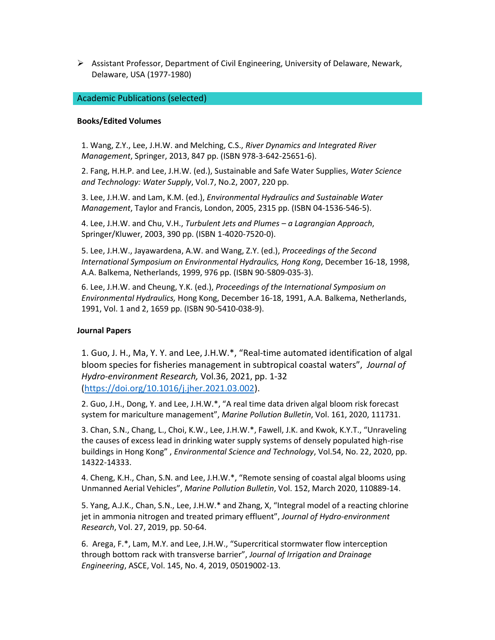$\triangleright$  Assistant Professor, Department of Civil Engineering, University of Delaware, Newark, Delaware, USA (1977-1980)

#### Academic Publications (selected)

#### **Books/Edited Volumes**

1. Wang, Z.Y., Lee, J.H.W. and Melching, C.S., *River Dynamics and Integrated River Management*, Springer, 2013, 847 pp. (ISBN 978-3-642-25651-6).

2. Fang, H.H.P. and Lee, J.H.W. (ed.), Sustainable and Safe Water Supplies, *Water Science and Technology: Water Supply*, Vol.7, No.2, 2007, 220 pp.

3. Lee, J.H.W. and Lam, K.M. (ed.), *Environmental Hydraulics and Sustainable Water Management*, Taylor and Francis, London, 2005, 2315 pp. (ISBN 04-1536-546-5).

4. Lee, J.H.W. and Chu, V.H., *Turbulent Jets and Plumes – a Lagrangian Approach*, Springer/Kluwer, 2003, 390 pp. (ISBN 1-4020-7520-0).

5. Lee, J.H.W., Jayawardena, A.W. and Wang, Z.Y. (ed.), *Proceedings of the Second International Symposium on Environmental Hydraulics, Hong Kong*, December 16-18, 1998, A.A. Balkema, Netherlands, 1999, 976 pp. (ISBN 90-5809-035-3).

6. Lee, J.H.W. and Cheung, Y.K. (ed.), *Proceedings of the International Symposium on Environmental Hydraulics,* Hong Kong, December 16-18, 1991, A.A. Balkema, Netherlands, 1991, Vol. 1 and 2, 1659 pp. (ISBN 90-5410-038-9).

#### **Journal Papers**

1. Guo, J. H., Ma, Y. Y. and Lee, J.H.W.\*, "Real-time automated identification of algal bloom species for fisheries management in subtropical coastal waters", *Journal of Hydro-environment Research,* Vol.36, 2021, pp. 1-32 [\(https://doi.org/10.1016/j.jher.2021.03.002\)](https://doi.org/10.1016/j.jher.2021.03.002).

2. Guo, J.H., Dong, Y. and Lee, J.H.W.\*, "A real time data driven algal bloom risk forecast system for mariculture management", *Marine Pollution Bulletin*, Vol. 161, 2020, 111731.

3. Chan, S.N., Chang, L., Choi, K.W., Lee, J.H.W.\*, Fawell, J.K. and Kwok, K.Y.T., "Unraveling the causes of excess lead in drinking water supply systems of densely populated high-rise buildings in Hong Kong" , *Environmental Science and Technology*, Vol.54, No. 22, 2020, pp. 14322-14333.

4. Cheng, K.H., Chan, S.N. and Lee, J.H.W.\*, "Remote sensing of coastal algal blooms using Unmanned Aerial Vehicles", *Marine Pollution Bulletin*, Vol. 152, March 2020, 110889-14.

5. Yang, A.J.K., Chan, S.N., Lee, J.H.W.\* and Zhang, X, "Integral model of a reacting chlorine jet in ammonia nitrogen and treated primary effluent", *Journal of Hydro-environment Research*, Vol. 27, 2019, pp. 50-64.

6. Arega, F.\*, Lam, M.Y. and Lee, J.H.W., "Supercritical stormwater flow interception through bottom rack with transverse barrier", *Journal of Irrigation and Drainage Engineering*, ASCE, Vol. 145, No. 4, 2019, 05019002-13.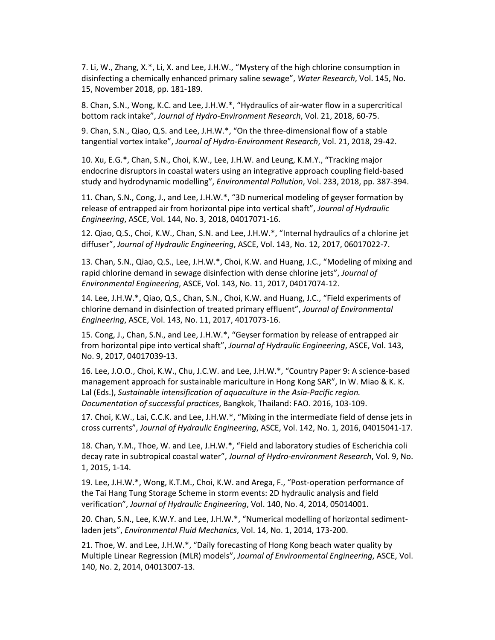7. Li, W., Zhang, X.\*, Li, X. and Lee, J.H.W., "Mystery of the high chlorine consumption in disinfecting a chemically enhanced primary saline sewage", *Water Research*, Vol. 145, No. 15, November 2018, pp. 181-189.

8. Chan, S.N., Wong, K.C. and Lee, J.H.W.\*, "Hydraulics of air-water flow in a supercritical bottom rack intake", *Journal of Hydro-Environment Research*, Vol. 21, 2018, 60-75.

9. Chan, S.N., Qiao, Q.S. and Lee, J.H.W.\*, "On the three-dimensional flow of a stable tangential vortex intake", *Journal of Hydro-Environment Research*, Vol. 21, 2018, 29-42.

10. Xu, E.G.\*, Chan, S.N., Choi, K.W., Lee, J.H.W. and Leung, K.M.Y., "Tracking major endocrine disruptors in coastal waters using an integrative approach coupling field-based study and hydrodynamic modelling", *Environmental Pollution*, Vol. 233, 2018, pp. 387-394.

11. Chan, S.N., Cong, J., and Lee, J.H.W.\*, "3D numerical modeling of geyser formation by release of entrapped air from horizontal pipe into vertical shaft", *Journal of Hydraulic Engineering*, ASCE, Vol. 144, No. 3, 2018, 04017071-16.

12. Qiao, Q.S., Choi, K.W., Chan, S.N. and Lee, J.H.W.\*, "Internal hydraulics of a chlorine jet diffuser", *Journal of Hydraulic Engineering*, ASCE, Vol. 143, No. 12, 2017, 06017022-7.

13. Chan, S.N., Qiao, Q.S., Lee, J.H.W.\*, Choi, K.W. and Huang, J.C., "Modeling of mixing and rapid chlorine demand in sewage disinfection with dense chlorine jets", *Journal of Environmental Engineering*, ASCE, Vol. 143, No. 11, 2017, 04017074-12.

14. Lee, J.H.W.\*, Qiao, Q.S., Chan, S.N., Choi, K.W. and Huang, J.C., "Field experiments of chlorine demand in disinfection of treated primary effluent", *Journal of Environmental Engineering*, ASCE, Vol. 143, No. 11, 2017, 4017073-16.

15. Cong, J., Chan, S.N., and Lee, J.H.W.\*, "Geyser formation by release of entrapped air from horizontal pipe into vertical shaft", *Journal of Hydraulic Engineering*, ASCE, Vol. 143, No. 9, 2017, 04017039-13.

16. Lee, J.O.O., Choi, K.W., Chu, J.C.W. and Lee, J.H.W.\*, "Country Paper 9: A science-based management approach for sustainable mariculture in Hong Kong SAR", In W. Miao & K. K. Lal (Eds.), *Sustainable intensification of aquaculture in the Asia-Pacific region. Documentation of successful practices*, Bangkok, Thailand: FAO. 2016, 103-109.

17. Choi, K.W., Lai, C.C.K. and Lee, J.H.W.\*, "Mixing in the intermediate field of dense jets in cross currents", *Journal of Hydraulic Engineering*, ASCE, Vol. 142, No. 1, 2016, 04015041-17.

18. Chan, Y.M., Thoe, W. and Lee, J.H.W.\*, "Field and laboratory studies of Escherichia coli decay rate in subtropical coastal water", *Journal of Hydro-environment Research*, Vol. 9, No. 1, 2015, 1-14.

19. Lee, J.H.W.\*, Wong, K.T.M., Choi, K.W. and Arega, F., "Post-operation performance of the Tai Hang Tung Storage Scheme in storm events: 2D hydraulic analysis and field verification", *Journal of Hydraulic Engineering*, Vol. 140, No. 4, 2014, 05014001.

20. Chan, S.N., Lee, K.W.Y. and Lee, J.H.W.\*, "Numerical modelling of horizontal sedimentladen jets", *Environmental Fluid Mechanics*, Vol. 14, No. 1, 2014, 173-200.

21. Thoe, W. and Lee, J.H.W.\*, "Daily forecasting of Hong Kong beach water quality by Multiple Linear Regression (MLR) models", *Journal of Environmental Engineering*, ASCE, Vol. 140, No. 2, 2014, 04013007-13.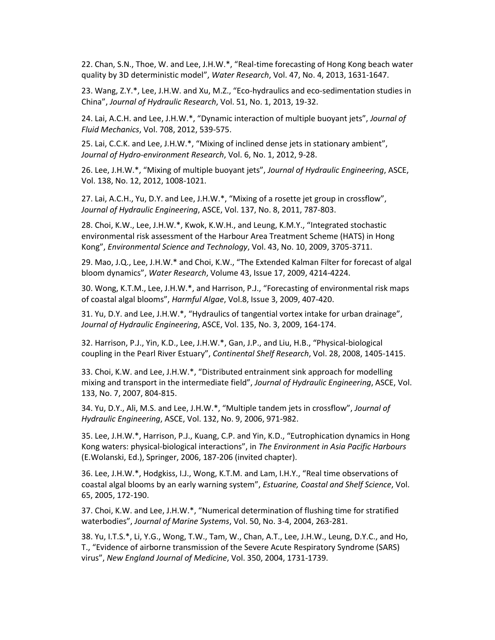22. Chan, S.N., Thoe, W. and Lee, J.H.W.\*, "Real-time forecasting of Hong Kong beach water quality by 3D deterministic model", *Water Research*, Vol. 47, No. 4, 2013, 1631-1647.

23. Wang, Z.Y.\*, Lee, J.H.W. and Xu, M.Z., "Eco-hydraulics and eco-sedimentation studies in China", *Journal of Hydraulic Research*, Vol. 51, No. 1, 2013, 19-32.

24. Lai, A.C.H. and Lee, J.H.W.\*, "Dynamic interaction of multiple buoyant jets", *Journal of Fluid Mechanics*, Vol. 708, 2012, 539-575.

25. Lai, C.C.K. and Lee, J.H.W.\*, "Mixing of inclined dense jets in stationary ambient", *Journal of Hydro-environment Research*, Vol. 6, No. 1, 2012, 9-28.

26. Lee, J.H.W.\*, "Mixing of multiple buoyant jets", *Journal of Hydraulic Engineering*, ASCE, Vol. 138, No. 12, 2012, 1008-1021.

27. Lai, A.C.H., Yu, D.Y. and Lee, J.H.W.\*, "Mixing of a rosette jet group in crossflow", *Journal of Hydraulic Engineering*, ASCE, Vol. 137, No. 8, 2011, 787-803.

28. Choi, K.W., Lee, J.H.W.\*, Kwok, K.W.H., and Leung, K.M.Y., "Integrated stochastic environmental risk assessment of the Harbour Area Treatment Scheme (HATS) in Hong Kong", *Environmental Science and Technology*, Vol. 43, No. 10, 2009, 3705-3711.

29. Mao, J.Q., Lee, J.H.W.\* and Choi, K.W., "The Extended Kalman Filter for forecast of algal bloom dynamics", *Water Research*, Volume 43, Issue 17, 2009, 4214-4224.

30. Wong, K.T.M., Lee, J.H.W.\*, and Harrison, P.J., "Forecasting of environmental risk maps of coastal algal blooms", *Harmful Algae*, Vol.8, Issue 3, 2009, 407-420.

31. Yu, D.Y. and Lee, J.H.W.\*, "Hydraulics of tangential vortex intake for urban drainage", *Journal of Hydraulic Engineering*, ASCE, Vol. 135, No. 3, 2009, 164-174.

32. Harrison, P.J., Yin, K.D., Lee, J.H.W.\*, Gan, J.P., and Liu, H.B., "Physical-biological coupling in the Pearl River Estuary", *Continental Shelf Research*, Vol. 28, 2008, 1405-1415.

33. Choi, K.W. and Lee, J.H.W.\*, "Distributed entrainment sink approach for modelling mixing and transport in the intermediate field", *Journal of Hydraulic Engineering*, ASCE, Vol. 133, No. 7, 2007, 804-815.

34. Yu, D.Y., Ali, M.S. and Lee, J.H.W.\*, "Multiple tandem jets in crossflow", *Journal of Hydraulic Engineering*, ASCE, Vol. 132, No. 9, 2006, 971-982.

35. Lee, J.H.W.\*, Harrison, P.J., Kuang, C.P. and Yin, K.D., "Eutrophication dynamics in Hong Kong waters: physical-biological interactions", in *The Environment in Asia Pacific Harbours* (E.Wolanski, Ed.), Springer, 2006, 187-206 (invited chapter).

36. Lee, J.H.W.\*, Hodgkiss, I.J., Wong, K.T.M. and Lam, I.H.Y., "Real time observations of coastal algal blooms by an early warning system", *Estuarine, Coastal and Shelf Science*, Vol. 65, 2005, 172-190.

37. Choi, K.W. and Lee, J.H.W.\*, "Numerical determination of flushing time for stratified waterbodies", *Journal of Marine Systems*, Vol. 50, No. 3-4, 2004, 263-281.

38. Yu, I.T.S.\*, Li, Y.G., Wong, T.W., Tam, W., Chan, A.T., Lee, J.H.W., Leung, D.Y.C., and Ho, T., "Evidence of airborne transmission of the Severe Acute Respiratory Syndrome (SARS) virus", *New England Journal of Medicine*, Vol. 350, 2004, 1731-1739.